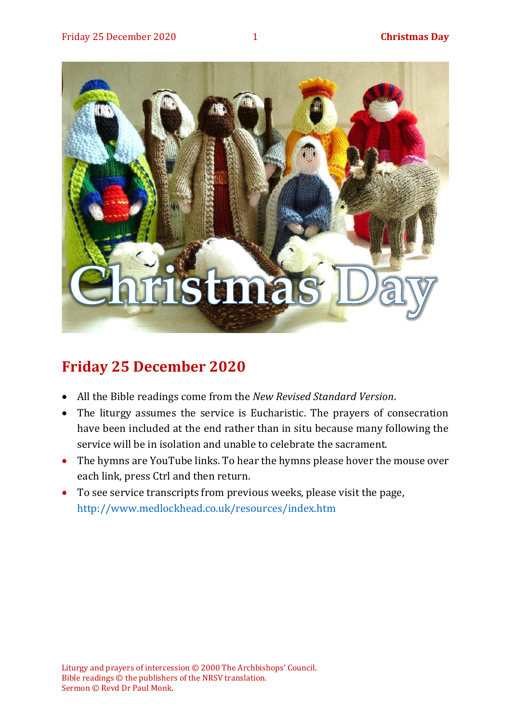

# **Friday 25 December 2020**

- All the Bible readings come from the *New Revised Standard Version*.
- The liturgy assumes the service is Eucharistic. The prayers of consecration have been included at the end rather than in situ because many following the service will be in isolation and unable to celebrate the sacrament.
- The hymns are YouTube links. To hear the hymns please hover the mouse over each link, press Ctrl and then return.
- To see service transcripts from previous weeks, please visit the page, <http://www.medlockhead.co.uk/resources/index.htm>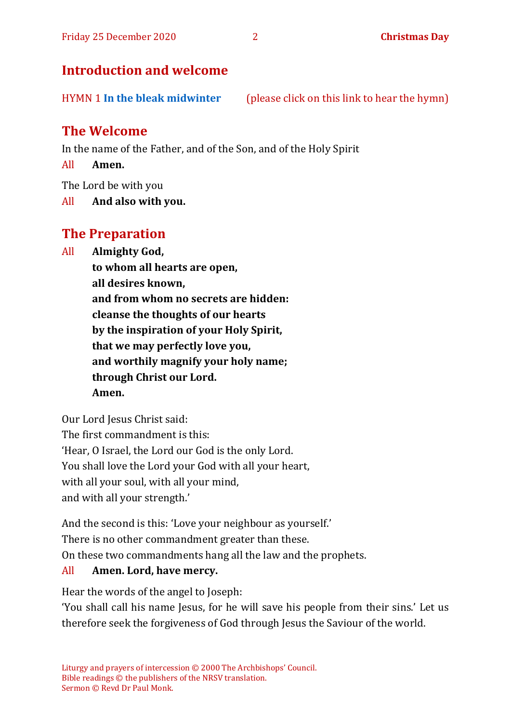## **Introduction and welcome**

HYMN 1 **[In the bleak midwinter](https://www.youtube.com/watch?v=r_dO91hQhkU)** (please click on this link to hear the hymn)

## **The Welcome**

In the name of the Father, and of the Son, and of the Holy Spirit

All **Amen.**

The Lord be with you

All **And also with you.**

## **The Preparation**

All **Almighty God,**

**to whom all hearts are open, all desires known, and from whom no secrets are hidden: cleanse the thoughts of our hearts by the inspiration of your Holy Spirit, that we may perfectly love you, and worthily magnify your holy name; through Christ our Lord. Amen.**

Our Lord Jesus Christ said: The first commandment is this: 'Hear, O Israel, the Lord our God is the only Lord. You shall love the Lord your God with all your heart, with all your soul, with all your mind, and with all your strength.'

And the second is this: 'Love your neighbour as yourself.' There is no other commandment greater than these. On these two commandments hang all the law and the prophets. All **Amen. Lord, have mercy.**

Hear the words of the angel to Joseph:

'You shall call his name Jesus, for he will save his people from their sins.' Let us therefore seek the forgiveness of God through Jesus the Saviour of the world.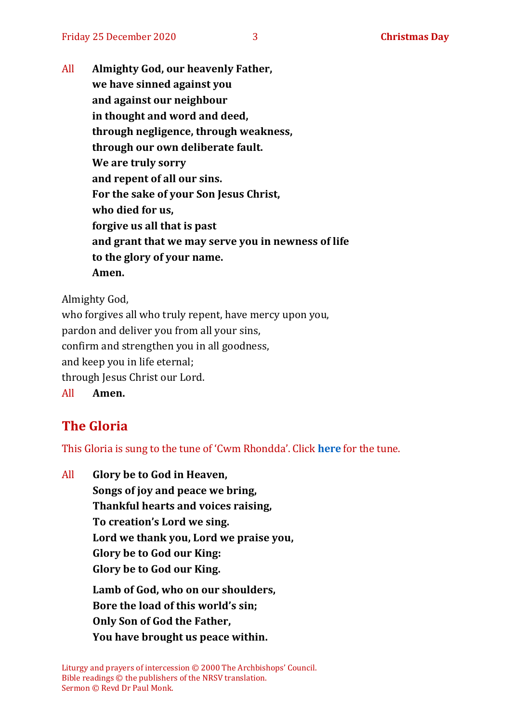All **Almighty God, our heavenly Father, we have sinned against you and against our neighbour in thought and word and deed, through negligence, through weakness, through our own deliberate fault. We are truly sorry and repent of all our sins. For the sake of your Son Jesus Christ, who died for us, forgive us all that is past and grant that we may serve you in newness of life to the glory of your name. Amen.**

Almighty God,

who forgives all who truly repent, have mercy upon you, pardon and deliver you from all your sins, confirm and strengthen you in all goodness, and keep you in life eternal; through Jesus Christ our Lord. All **Amen.**

## **The Gloria**

This Gloria is sung to the tune of 'Cwm Rhondda'. Click **[here](about:blank)** for the tune.

All **Glory be to God in Heaven, Songs of joy and peace we bring, Thankful hearts and voices raising, To creation's Lord we sing. Lord we thank you, Lord we praise you, Glory be to God our King: Glory be to God our King. Lamb of God, who on our shoulders, Bore the load of this world's sin; Only Son of God the Father, You have brought us peace within.**

Liturgy and prayers of intercession © 2000 The Archbishops' Council. Bible readings © the publishers of the NRSV translation. Sermon © Revd Dr Paul Monk.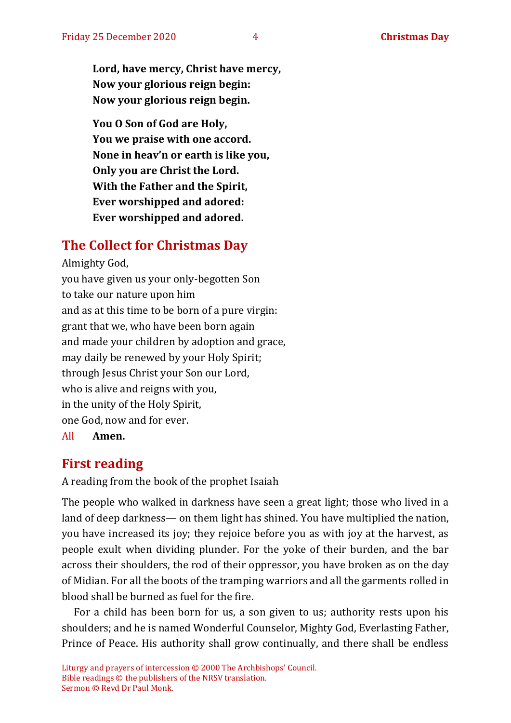**Lord, have mercy, Christ have mercy, Now your glorious reign begin: Now your glorious reign begin.**

**You O Son of God are Holy, You we praise with one accord. None in heav'n or earth is like you, Only you are Christ the Lord. With the Father and the Spirit, Ever worshipped and adored: Ever worshipped and adored.**

## **The Collect for Christmas Day**

Almighty God, you have given us your only-begotten Son to take our nature upon him and as at this time to be born of a pure virgin: grant that we, who have been born again and made your children by adoption and grace, may daily be renewed by your Holy Spirit; through Jesus Christ your Son our Lord, who is alive and reigns with you, in the unity of the Holy Spirit, one God, now and for ever. All **Amen.**

## **First reading**

A reading from the book of the prophet Isaiah

The people who walked in darkness have seen a great light; those who lived in a land of deep darkness— on them light has shined. You have multiplied the nation, you have increased its joy; they rejoice before you as with joy at the harvest, as people exult when dividing plunder. For the yoke of their burden, and the bar across their shoulders, the rod of their oppressor, you have broken as on the day of Midian. For all the boots of the tramping warriors and all the garments rolled in blood shall be burned as fuel for the fire.

For a child has been born for us, a son given to us; authority rests upon his shoulders; and he is named Wonderful Counselor, Mighty God, Everlasting Father, Prince of Peace. His authority shall grow continually, and there shall be endless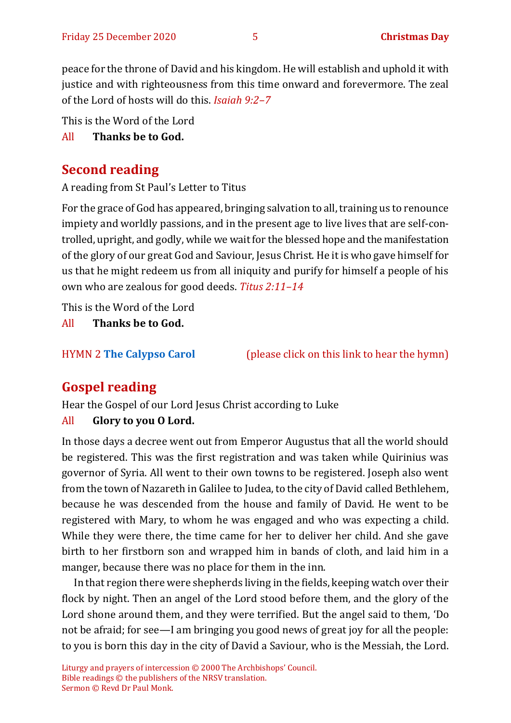peace for the throne of David and his kingdom. He will establish and uphold it with justice and with righteousness from this time onward and forevermore. The zeal of the Lord of hosts will do this. *Isaiah 9:2–7*

This is the Word of the Lord

All **Thanks be to God.**

## **Second reading**

A reading from St Paul's Letter to Titus

For the grace of God has appeared, bringing salvation to all, training us to renounce impiety and worldly passions, and in the present age to live lives that are self-controlled, upright, and godly, while we wait for the blessed hope and the manifestation of the glory of our great God and Saviour, Jesus Christ. He it is who gave himself for us that he might redeem us from all iniquity and purify for himself a people of his own who are zealous for good deeds. *Titus 2:11–14*

This is the Word of the Lord

All **Thanks be to God.**

HYMN 2 **[The Calypso Carol](https://www.youtube.com/watch?v=W1UI5Ko34XQ)** (please click on this link to hear the hymn)

# **Gospel reading**

Hear the Gospel of our Lord Jesus Christ according to Luke All **Glory to you O Lord.**

In those days a decree went out from Emperor Augustus that all the world should be registered. This was the first registration and was taken while Quirinius was governor of Syria. All went to their own towns to be registered. Joseph also went from the town of Nazareth in Galilee to Judea, to the city of David called Bethlehem, because he was descended from the house and family of David. He went to be registered with Mary, to whom he was engaged and who was expecting a child. While they were there, the time came for her to deliver her child. And she gave birth to her firstborn son and wrapped him in bands of cloth, and laid him in a manger, because there was no place for them in the inn.

In that region there were shepherds living in the fields, keeping watch over their flock by night. Then an angel of the Lord stood before them, and the glory of the Lord shone around them, and they were terrified. But the angel said to them, 'Do not be afraid; for see—I am bringing you good news of great joy for all the people: to you is born this day in the city of David a Saviour, who is the Messiah, the Lord.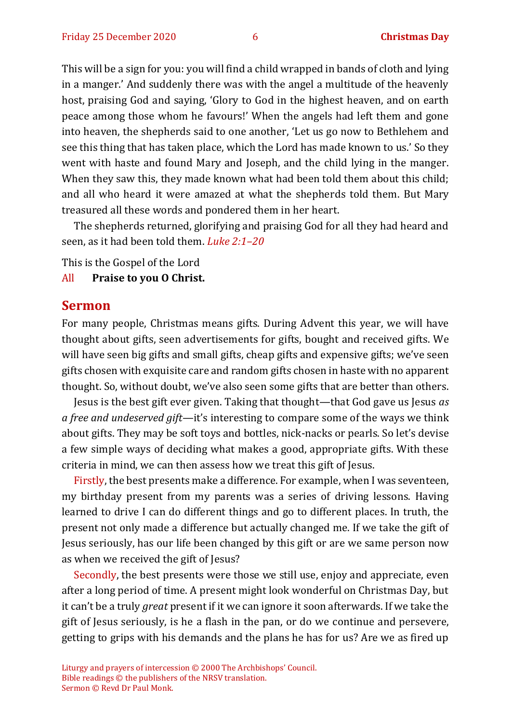This will be a sign for you: you will find a child wrapped in bands of cloth and lying in a manger.' And suddenly there was with the angel a multitude of the heavenly host, praising God and saying, 'Glory to God in the highest heaven, and on earth peace among those whom he favours!' When the angels had left them and gone into heaven, the shepherds said to one another, 'Let us go now to Bethlehem and see this thing that has taken place, which the Lord has made known to us.' So they went with haste and found Mary and Joseph, and the child lying in the manger. When they saw this, they made known what had been told them about this child; and all who heard it were amazed at what the shepherds told them. But Mary treasured all these words and pondered them in her heart.

The shepherds returned, glorifying and praising God for all they had heard and seen, as it had been told them. *Luke 2:1–20*

This is the Gospel of the Lord

#### All **Praise to you O Christ.**

#### **Sermon**

For many people, Christmas means gifts. During Advent this year, we will have thought about gifts, seen advertisements for gifts, bought and received gifts. We will have seen big gifts and small gifts, cheap gifts and expensive gifts; we've seen gifts chosen with exquisite care and random gifts chosen in haste with no apparent thought. So, without doubt, we've also seen some gifts that are better than others.

Jesus is the best gift ever given. Taking that thought—that God gave us Jesus *as a free and undeserved gift*—it's interesting to compare some of the ways we think about gifts. They may be soft toys and bottles, nick-nacks or pearls. So let's devise a few simple ways of deciding what makes a good, appropriate gifts. With these criteria in mind, we can then assess how we treat this gift of Jesus.

Firstly, the best presents make a difference. For example, when I was seventeen, my birthday present from my parents was a series of driving lessons. Having learned to drive I can do different things and go to different places. In truth, the present not only made a difference but actually changed me. If we take the gift of Jesus seriously, has our life been changed by this gift or are we same person now as when we received the gift of Jesus?

Secondly, the best presents were those we still use, enjoy and appreciate, even after a long period of time. A present might look wonderful on Christmas Day, but it can't be a truly *great* present if it we can ignore it soon afterwards. If we take the gift of Jesus seriously, is he a flash in the pan, or do we continue and persevere, getting to grips with his demands and the plans he has for us? Are we as fired up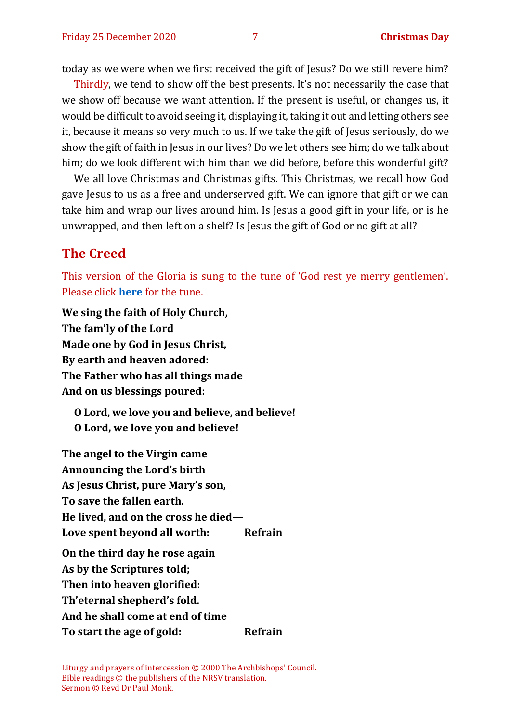today as we were when we first received the gift of Jesus? Do we still revere him?

Thirdly, we tend to show off the best presents. It's not necessarily the case that we show off because we want attention. If the present is useful, or changes us, it would be difficult to avoid seeing it, displaying it, taking it out and letting others see it, because it means so very much to us. If we take the gift of Jesus seriously, do we show the gift of faith in Jesus in our lives? Do we let others see him; do we talk about him; do we look different with him than we did before, before this wonderful gift?

We all love Christmas and Christmas gifts. This Christmas, we recall how God gave Jesus to us as a free and underserved gift. We can ignore that gift or we can take him and wrap our lives around him. Is Jesus a good gift in your life, or is he unwrapped, and then left on a shelf? Is Jesus the gift of God or no gift at all?

## **The Creed**

This version of the Gloria is sung to the tune of 'God rest ye merry gentlemen'. Please click **[here](https://www.youtube.com/watch?v=RZjHDSlTi2U)** for the tune.

**We sing the faith of Holy Church, The fam'ly of the Lord Made one by God in Jesus Christ, By earth and heaven adored: The Father who has all things made And on us blessings poured:**

**O Lord, we love you and believe, and believe! O Lord, we love you and believe!**

**The angel to the Virgin came Announcing the Lord's birth As Jesus Christ, pure Mary's son, To save the fallen earth. He lived, and on the cross he died— Love spent beyond all worth: Refrain On the third day he rose again As by the Scriptures told; Then into heaven glorified: Th'eternal shepherd's fold. And he shall come at end of time To start the age of gold: Refrain**

Liturgy and prayers of intercession © 2000 The Archbishops' Council. Bible readings © the publishers of the NRSV translation. Sermon © Revd Dr Paul Monk.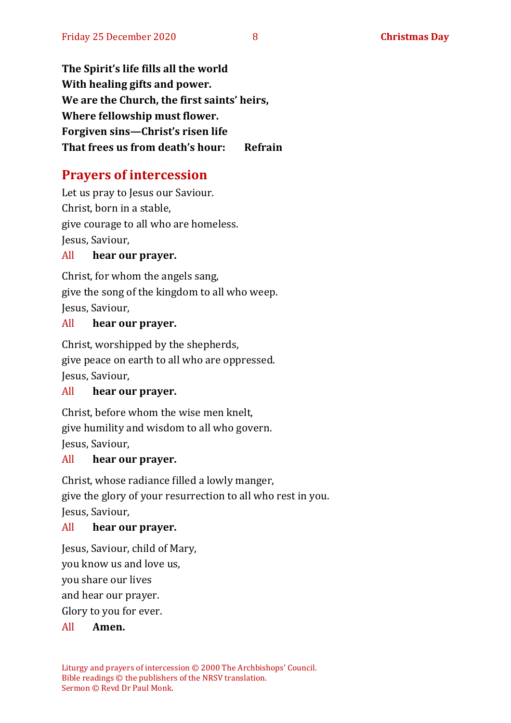**The Spirit's life fills all the world With healing gifts and power. We are the Church, the first saints' heirs, Where fellowship must flower. Forgiven sins—Christ's risen life That frees us from death's hour: Refrain**

## **Prayers of intercession**

Let us pray to Jesus our Saviour. Christ, born in a stable, give courage to all who are homeless. Jesus, Saviour,

#### All **hear our prayer.**

Christ, for whom the angels sang, give the song of the kingdom to all who weep. Jesus, Saviour,

#### All **hear our prayer.**

Christ, worshipped by the shepherds, give peace on earth to all who are oppressed. Jesus, Saviour,

#### All **hear our prayer.**

Christ, before whom the wise men knelt, give humility and wisdom to all who govern. Jesus, Saviour,

#### All **hear our prayer.**

Christ, whose radiance filled a lowly manger, give the glory of your resurrection to all who rest in you. Jesus, Saviour,

#### All **hear our prayer.**

Jesus, Saviour, child of Mary,

you know us and love us,

you share our lives

and hear our prayer.

Glory to you for ever.

#### All **Amen.**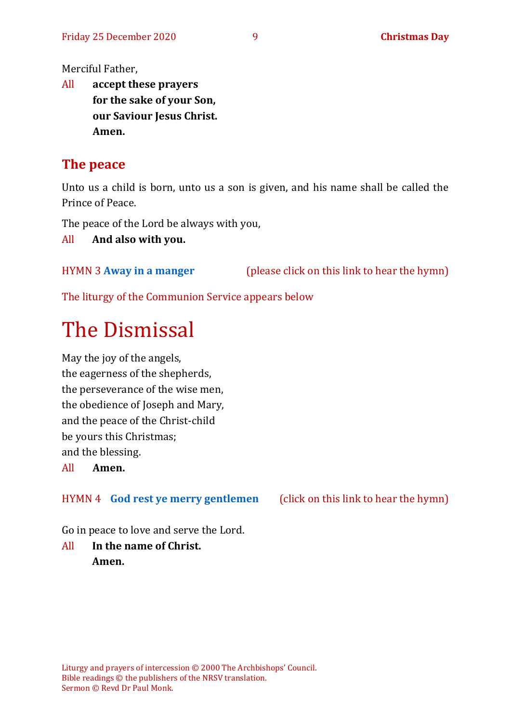Merciful Father,

All **accept these prayers for the sake of your Son, our Saviour Jesus Christ. Amen.**

### **The peace**

Unto us a child is born, unto us a son is given, and his name shall be called the Prince of Peace.

The peace of the Lord be always with you,

All **And also with you.**

HYMN 3 **Away [in a manger](https://www.youtube.com/watch?v=yjke_DVaa_c&t=2s)** (please click on this link to hear the hymn)

The liturgy of the Communion Service appears below

# The Dismissal

May the joy of the angels, the eagerness of the shepherds, the perseverance of the wise men, the obedience of Joseph and Mary, and the peace of the Christ-child be yours this Christmas; and the blessing.

All **Amen.**

#### HYMN 4 **[God rest ye merry gentlemen](https://www.youtube.com/watch?v=IdScvjNCfSA)** (click on this link to hear the hymn)

Go in peace to love and serve the Lord.

All **In the name of Christ. Amen.**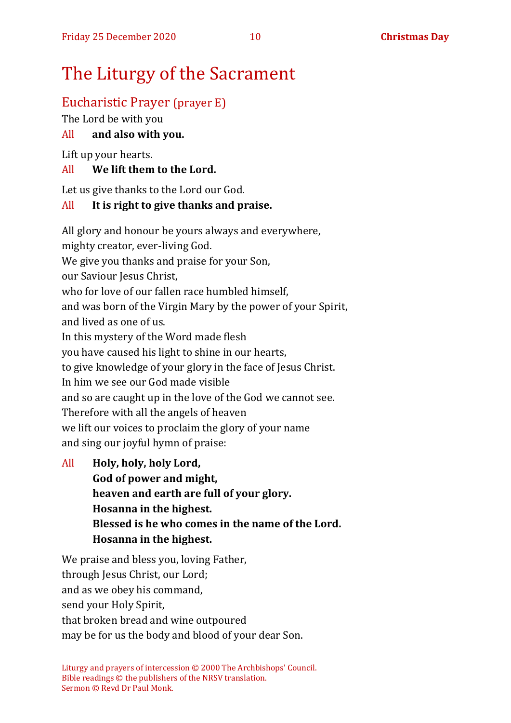# The Liturgy of the Sacrament

## Eucharistic Prayer (prayer E)

The Lord be with you

#### All **and also with you.**

Lift up your hearts.

#### All **We lift them to the Lord.**

Let us give thanks to the Lord our God.

#### All **It is right to give thanks and praise.**

All glory and honour be yours always and everywhere, mighty creator, ever-living God. We give you thanks and praise for your Son, our Saviour Jesus Christ, who for love of our fallen race humbled himself. and was born of the Virgin Mary by the power of your Spirit, and lived as one of us. In this mystery of the Word made flesh you have caused his light to shine in our hearts, to give knowledge of your glory in the face of Jesus Christ. In him we see our God made visible and so are caught up in the love of the God we cannot see. Therefore with all the angels of heaven we lift our voices to proclaim the glory of your name and sing our joyful hymn of praise:

All **Holy, holy, holy Lord, God of power and might, heaven and earth are full of your glory. Hosanna in the highest. Blessed is he who comes in the name of the Lord. Hosanna in the highest.**

We praise and bless you, loving Father, through Jesus Christ, our Lord; and as we obey his command, send your Holy Spirit, that broken bread and wine outpoured may be for us the body and blood of your dear Son.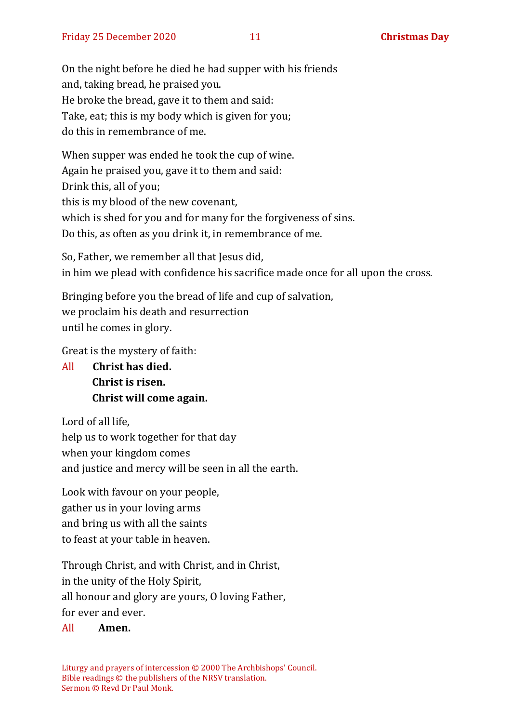On the night before he died he had supper with his friends and, taking bread, he praised you. He broke the bread, gave it to them and said: Take, eat; this is my body which is given for you; do this in remembrance of me.

When supper was ended he took the cup of wine. Again he praised you, gave it to them and said: Drink this, all of you; this is my blood of the new covenant, which is shed for you and for many for the forgiveness of sins. Do this, as often as you drink it, in remembrance of me.

So, Father, we remember all that Jesus did, in him we plead with confidence his sacrifice made once for all upon the cross.

Bringing before you the bread of life and cup of salvation, we proclaim his death and resurrection until he comes in glory.

Great is the mystery of faith:

All **Christ has died. Christ is risen. Christ will come again.**

Lord of all life, help us to work together for that day when your kingdom comes and justice and mercy will be seen in all the earth.

Look with favour on your people, gather us in your loving arms and bring us with all the saints to feast at your table in heaven.

Through Christ, and with Christ, and in Christ, in the unity of the Holy Spirit, all honour and glory are yours, O loving Father, for ever and ever.

#### All **Amen.**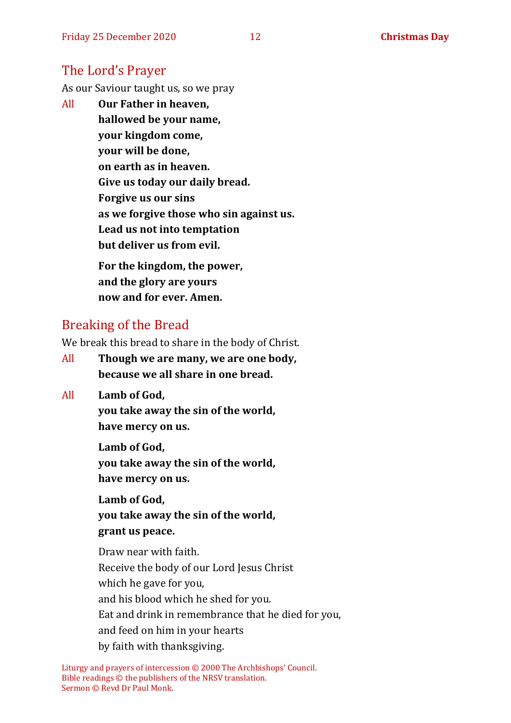## The Lord's Prayer

As our Saviour taught us, so we pray

All **Our Father in heaven, hallowed be your name, your kingdom come, your will be done, on earth as in heaven. Give us today our daily bread. Forgive us our sins as we forgive those who sin against us. Lead us not into temptation but deliver us from evil. For the kingdom, the power,** 

**and the glory are yours now and for ever. Amen.**

## Breaking of the Bread

We break this bread to share in the body of Christ.

- All **Though we are many, we are one body, because we all share in one bread.**
- All **Lamb of God,**

**you take away the sin of the world, have mercy on us.**

**Lamb of God, you take away the sin of the world, have mercy on us.**

**Lamb of God, you take away the sin of the world, grant us peace.**

Draw near with faith. Receive the body of our Lord Jesus Christ which he gave for you, and his blood which he shed for you. Eat and drink in remembrance that he died for you, and feed on him in your hearts by faith with thanksgiving.